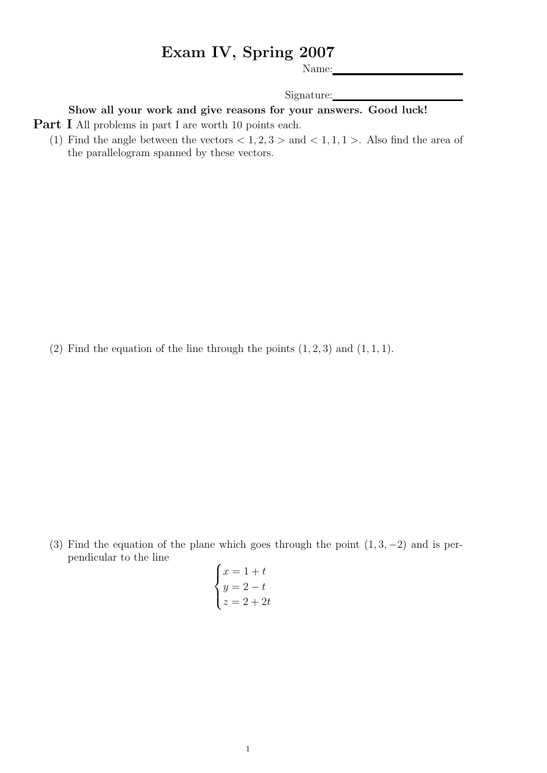## Exam IV, Spring 2007

Name:

Signature:

Show all your work and give reasons for your answers. Good luck!

- **Part I** All problems in part I are worth 10 points each.
	- (1) Find the angle between the vectors  $\langle 1, 2, 3 \rangle$  and  $\langle 1, 1, 1 \rangle$ . Also find the area of the parallelogram spanned by these vectors.

(2) Find the equation of the line through the points  $(1, 2, 3)$  and  $(1, 1, 1)$ .

(3) Find the equation of the plane which goes through the point  $(1, 3, -2)$  and is perpendicular to the line

$$
\begin{cases}\nx = 1 + t \\
y = 2 - t \\
z = 2 + 2t\n\end{cases}
$$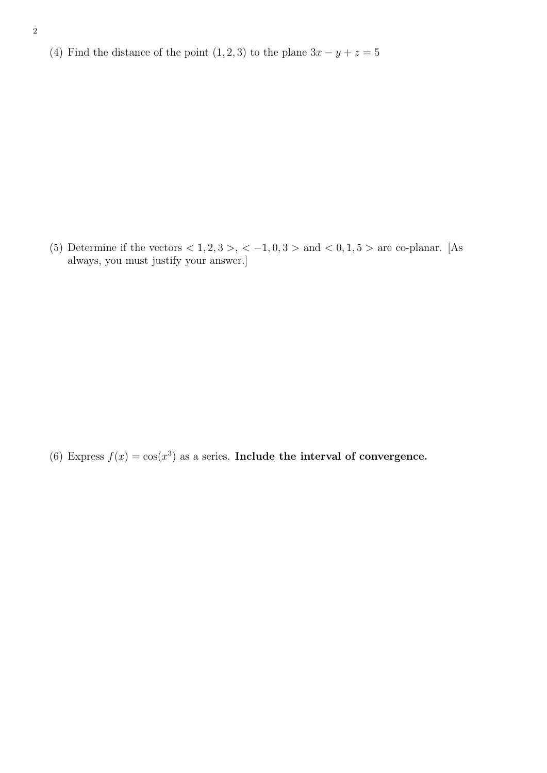(4) Find the distance of the point  $(1, 2, 3)$  to the plane  $3x - y + z = 5$ 

(5) Determine if the vectors  $< 1, 2, 3 > 0, -1, 0, 3 > 0$  and  $< 0, 1, 5 > 0$  are co-planar. [As always, you must justify your answer.]

(6) Express  $f(x) = \cos(x^3)$  as a series. Include the interval of convergence.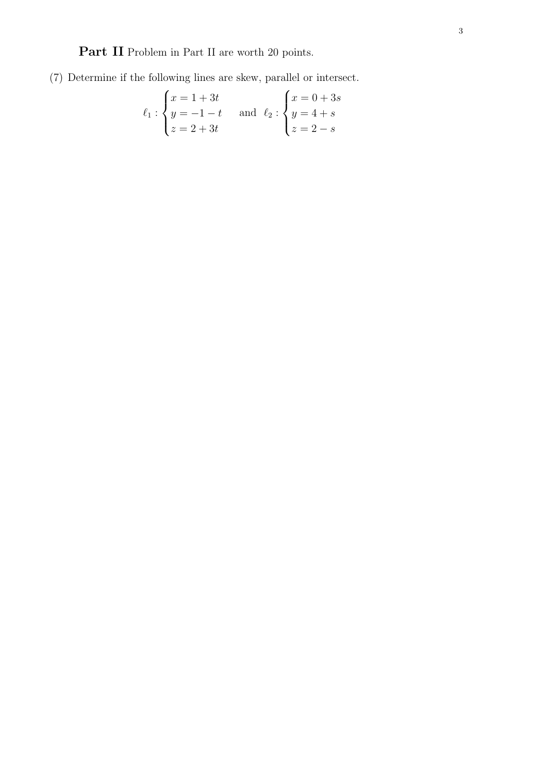Part II Problem in Part II are worth 20 points.

(7) Determine if the following lines are skew, parallel or intersect.

$$
\ell_1 : \begin{cases} x = 1 + 3t \\ y = -1 - t \\ z = 2 + 3t \end{cases} \text{ and } \ell_2 : \begin{cases} x = 0 + 3s \\ y = 4 + s \\ z = 2 - s \end{cases}
$$